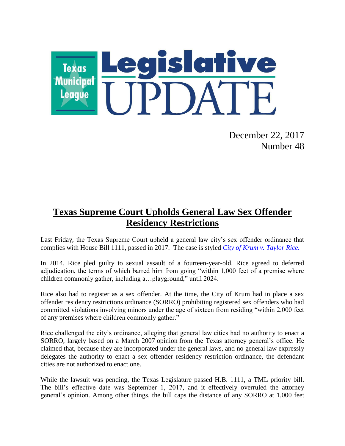

December 22, 2017 Number 48

# **Texas Supreme Court Upholds General Law Sex Offender Residency Restrictions**

Last Friday, the Texas Supreme Court upheld a general law city's sex offender ordinance that complies with House Bill 1111, passed in 2017. The case is styled *[City of Krum v. Taylor Rice.](http://www.search.txcourts.gov/SearchMedia.aspx?MediaVersionID=b7249311-a97c-49ce-adec-cf34d71f5fb6&coa=cossup&DT=OPINION&MediaID=49735715-b439-4a90-89ad-4e0c841818f7)* 

In 2014, Rice pled guilty to sexual assault of a fourteen-year-old. Rice agreed to deferred adjudication, the terms of which barred him from going "within 1,000 feet of a premise where children commonly gather, including a…playground," until 2024.

Rice also had to register as a sex offender. At the time, the City of Krum had in place a sex offender residency restrictions ordinance (SORRO) prohibiting registered sex offenders who had committed violations involving minors under the age of sixteen from residing "within 2,000 feet of any premises where children commonly gather."

Rice challenged the city's ordinance, alleging that general law cities had no authority to enact a SORRO, largely based on a March 2007 opinion from the Texas attorney general's office. He claimed that, because they are incorporated under the general laws, and no general law expressly delegates the authority to enact a sex offender residency restriction ordinance, the defendant cities are not authorized to enact one.

While the lawsuit was pending, the Texas Legislature passed H.B. 1111, a TML priority bill. The bill's effective date was September 1, 2017, and it effectively overruled the attorney general's opinion. Among other things, the bill caps the distance of any SORRO at 1,000 feet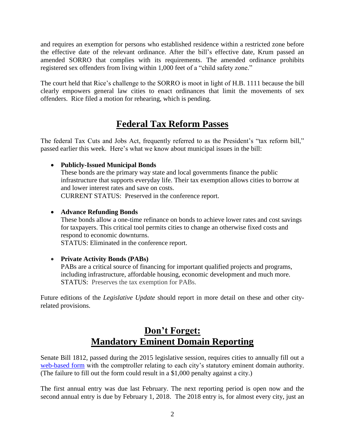and requires an exemption for persons who established residence within a restricted zone before the effective date of the relevant ordinance. After the bill's effective date, Krum passed an amended SORRO that complies with its requirements. The amended ordinance prohibits registered sex offenders from living within 1,000 feet of a "child safety zone."

The court held that Rice's challenge to the SORRO is moot in light of H.B. 1111 because the bill clearly empowers general law cities to enact ordinances that limit the movements of sex offenders. Rice filed a motion for rehearing, which is pending.

### **Federal Tax Reform Passes**

The federal Tax Cuts and Jobs Act, frequently referred to as the President's "tax reform bill," passed earlier this week. Here's what we know about municipal issues in the bill:

#### **Publicly-Issued Municipal Bonds**

These bonds are the primary way state and local governments finance the public infrastructure that supports everyday life. Their tax exemption allows cities to borrow at and lower interest rates and save on costs.

CURRENT STATUS: Preserved in the conference report.

#### **Advance Refunding Bonds**

These bonds allow a one-time refinance on bonds to achieve lower rates and cost savings for taxpayers. This critical tool permits cities to change an otherwise fixed costs and respond to economic downturns.

STATUS: Eliminated in the conference report.

#### **Private Activity Bonds (PABs)**

PABs are a critical source of financing for important qualified projects and programs, including infrastructure, affordable housing, economic development and much more. STATUS: Preserves the tax exemption for PABs.

Future editions of the *Legislative Update* should report in more detail on these and other cityrelated provisions.

## **Don't Forget: Mandatory Eminent Domain Reporting**

Senate Bill 1812, passed during the 2015 legislative session, requires cities to annually fill out a [web-based form](https://www.comptroller.texas.gov/transparency/local/eminent-domain/reporting.php) with the comptroller relating to each city's statutory eminent domain authority. (The failure to fill out the form could result in a \$1,000 penalty against a city.)

The first annual entry was due last February. The next reporting period is open now and the second annual entry is due by February 1, 2018. The 2018 entry is, for almost every city, just an